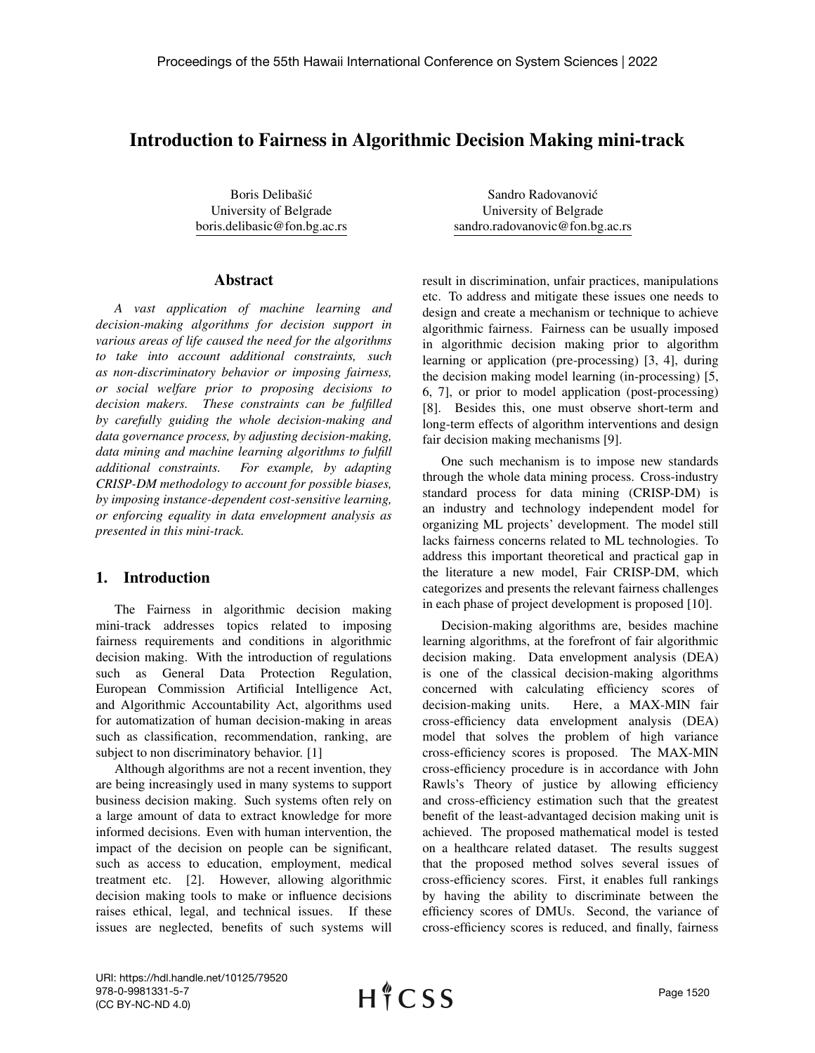## Introduction to Fairness in Algorithmic Decision Making mini-track

Boris Delibašić University of Belgrade boris.delibasic@fon.bg.ac.rs

## Abstract

*A vast application of machine learning and decision-making algorithms for decision support in various areas of life caused the need for the algorithms to take into account additional constraints, such as non-discriminatory behavior or imposing fairness, or social welfare prior to proposing decisions to decision makers. These constraints can be fulfilled by carefully guiding the whole decision-making and data governance process, by adjusting decision-making, data mining and machine learning algorithms to fulfill additional constraints. For example, by adapting CRISP-DM methodology to account for possible biases, by imposing instance-dependent cost-sensitive learning, or enforcing equality in data envelopment analysis as presented in this mini-track.*

## 1. Introduction

The Fairness in algorithmic decision making mini-track addresses topics related to imposing fairness requirements and conditions in algorithmic decision making. With the introduction of regulations such as General Data Protection Regulation, European Commission Artificial Intelligence Act, and Algorithmic Accountability Act, algorithms used for automatization of human decision-making in areas such as classification, recommendation, ranking, are subject to non discriminatory behavior. [1]

Although algorithms are not a recent invention, they are being increasingly used in many systems to support business decision making. Such systems often rely on a large amount of data to extract knowledge for more informed decisions. Even with human intervention, the impact of the decision on people can be significant, such as access to education, employment, medical treatment etc. [2]. However, allowing algorithmic decision making tools to make or influence decisions raises ethical, legal, and technical issues. If these issues are neglected, benefits of such systems will

Sandro Radovanovic´ University of Belgrade sandro.radovanovic@fon.bg.ac.rs

result in discrimination, unfair practices, manipulations etc. To address and mitigate these issues one needs to design and create a mechanism or technique to achieve algorithmic fairness. Fairness can be usually imposed in algorithmic decision making prior to algorithm learning or application (pre-processing) [3, 4], during the decision making model learning (in-processing) [5, 6, 7], or prior to model application (post-processing) [8]. Besides this, one must observe short-term and long-term effects of algorithm interventions and design fair decision making mechanisms [9].

One such mechanism is to impose new standards through the whole data mining process. Cross-industry standard process for data mining (CRISP-DM) is an industry and technology independent model for organizing ML projects' development. The model still lacks fairness concerns related to ML technologies. To address this important theoretical and practical gap in the literature a new model, Fair CRISP-DM, which categorizes and presents the relevant fairness challenges in each phase of project development is proposed [10].

Decision-making algorithms are, besides machine learning algorithms, at the forefront of fair algorithmic decision making. Data envelopment analysis (DEA) is one of the classical decision-making algorithms concerned with calculating efficiency scores of decision-making units. Here, a MAX-MIN fair cross-efficiency data envelopment analysis (DEA) model that solves the problem of high variance cross-efficiency scores is proposed. The MAX-MIN cross-efficiency procedure is in accordance with John Rawls's Theory of justice by allowing efficiency and cross-efficiency estimation such that the greatest benefit of the least-advantaged decision making unit is achieved. The proposed mathematical model is tested on a healthcare related dataset. The results suggest that the proposed method solves several issues of cross-efficiency scores. First, it enables full rankings by having the ability to discriminate between the efficiency scores of DMUs. Second, the variance of cross-efficiency scores is reduced, and finally, fairness